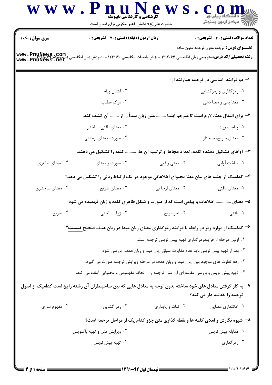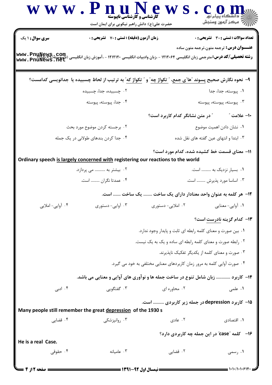|                                                           | WWW.Pnu<br>کارشناسی و کارشناسی ناپیوسته<br>حضرت علی(ع): دانش راهبر نیکویی برای ایمان است                                                       |                                                                         |                                                  |
|-----------------------------------------------------------|------------------------------------------------------------------------------------------------------------------------------------------------|-------------------------------------------------------------------------|--------------------------------------------------|
| سری سوال: ۱ یک                                            | زمان آزمون (دقیقه) : تستی : 70 گشریحی : 0                                                                                                      |                                                                         | <b>تعداد سوالات : تستی : 30 ٪ تشریحی : 0</b>     |
|                                                           | <b>رشته تحصیلی/کد درس:</b> مترجمی زبان انگلیسی ۱۲۱۲۰۶۴ - ،زبان وادبیات انگلیسی ۱۲۱۲۱۲۰ - ،آموزش زبان انگلیسی (ناپیوسته)<br>www . PnuNews . net |                                                                         | <b>عنـــوان درس :</b> ترجمه متون،ترجمه متون ساده |
|                                                           | ۹–  نحوه نگارش صحیح پسوند "ها"ی جمع، <u>" تکواژ چه</u> " و " تکواژ که" به ترتیب از لحاظ چسبیده یا  جدانویسی کدامست؟                            |                                                                         |                                                  |
|                                                           | ۰۲ چسبیده، جدا، چسبیده                                                                                                                         |                                                                         | ٠١. پيوسته، جدا، جدا                             |
|                                                           | ۰۴ جدا، پیوسته، پیوسته                                                                                                                         |                                                                         | . پیوسته، پیوسته، پیوسته                         |
|                                                           |                                                                                                                                                | <b>" در متن نشانگر کدام کاربرد است</b> ؟                                | ∙ا− علامت ″                                      |
|                                                           | ۰۲ برجسته کردن موضوع مورد بحث                                                                                                                  |                                                                         | ۰۱ نشان دادن اهمیت موضوع                         |
|                                                           | ۰۴ جدا کردن بندهای طولانی در یک جمله                                                                                                           |                                                                         | ۰۳ ابتدا و انتهای عین گفته های نقل شده           |
|                                                           | Ordinary speech is largely concerned with registering our reactions to the world                                                               |                                                                         | 11- معنای قسمت خط کشیده شده، کدام مورد است؟      |
|                                                           | ۰۲ بیشتر به  می پردازد.                                                                                                                        |                                                                         | ۰۱ بسیار نزدیک به  است.                          |
|                                                           | ۰۴ عمدتا نگران  است.                                                                                                                           |                                                                         | ۰۳ اساسا مورد پذیرش  است.                        |
|                                                           | یک ساخت  است.                                                                                                                                  |                                                                         | ۱۲– هر کلمه به عنوان واحد معنادار دارای یک ساخت  |
| ۰۴ آوایی- املایی                                          | ۰۳ آوایی- دستوری                                                                                                                               | ۰۲ املایی- دستوری                                                       | ۰۱ آوایی-معنایی                                  |
|                                                           |                                                                                                                                                |                                                                         | <b>۱۳</b> - کدام گزینه نادرست است؟               |
|                                                           |                                                                                                                                                | ۰۱ بین صورت و معنای کلمه رابطه ای ثابت و پایدار وجود ندارد.             |                                                  |
| ۰۲ رابطه صورت و معنای کلمه رابطه ای ساده و یک به یک نیست. |                                                                                                                                                |                                                                         |                                                  |
|                                                           |                                                                                                                                                |                                                                         | ۰۳ صورت و معنای کلمه از یکدیگر تفکیک نایذیرند.   |
|                                                           |                                                                                                                                                | ۰۴ صورت آوایی کلمه به مرور زمان کاربردهای معنایی مختلفی به خود می گیرد. |                                                  |
|                                                           | ۱۴- کاربرد  زبان شامل تنوع در ساخت جمله ها و نوآوری های آوایی و معنایی می باشد.                                                                |                                                                         |                                                  |
| ۰۴ ادبی                                                   | ۰۳ گفتگویی                                                                                                                                     | ۰۲ محاوره ای                                                            | ۰۱ علمی                                          |
|                                                           | Many people still remember the great depression of the 1930 s                                                                                  | ۰۱۵ کاربرد depression در جمله زیر کاربردی  است.                         |                                                  |
| ۰۴ قضایی                                                  | ۰۳ روانیزشکی                                                                                                                                   | ۰۲ عادی                                                                 | ۰۱ اقتصادی                                       |
| He is a real Case.                                        |                                                                                                                                                |                                                                         | ۱۶− کلمه "case" در این جمله چه کاربردی دارد؟     |
| ۰۴ حقوقی                                                  | ۰۳ عامیانه                                                                                                                                     | ۰۲ قضایی                                                                | ۱. رسمی                                          |
|                                                           |                                                                                                                                                | ــــــــــــ نیمسال اول 92-1391 ـــــ                                   | $=$ ۱۰۱۰/۱۰۱۰۶۱۴۰۱                               |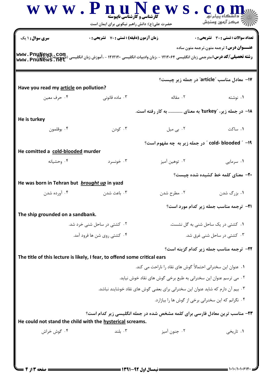|                                                            | <b>زمان آزمون (دقیقه) : تستی : 70 گشریحی : 0</b>                               |                                                                                     | تعداد سوالات : تستي : 30 ٪ تشريحي : 0           |
|------------------------------------------------------------|--------------------------------------------------------------------------------|-------------------------------------------------------------------------------------|-------------------------------------------------|
| <b>سری سوال :</b> ۱ یک                                     |                                                                                |                                                                                     | <b>عنـــوان درس:</b> ترجمه متون،ترجمه متون ساده |
|                                                            |                                                                                |                                                                                     |                                                 |
|                                                            |                                                                                | ۱۷− معادل مناسب "article" در جمله زیر چیست؟                                         |                                                 |
| Have you read my article on pollution?                     |                                                                                |                                                                                     |                                                 |
| ۰۴ حرف معين                                                | ۰۳ ماده قانونی                                                                 |                                                                                     |                                                 |
| He is turkey                                               |                                                                                | ۱۸– در جمله زیر، "turkey" به معنای  به کار رفته است.                                |                                                 |
| ۰۴ بوقلمون                                                 | ۰۳ کودن                                                                        | ۰۲ بی میل                                                                           | ۰۱ ساکت                                         |
|                                                            |                                                                                | cold- blooded " -۱۹" در جمله زیر به چه مفهوم است؟                                   |                                                 |
| He comitted a cold-blooded murder                          |                                                                                |                                                                                     |                                                 |
| ۰۴ وحشیانه                                                 | ۰۳ خونسرد                                                                      | ۰۲ توهين آميز                                                                       | ۰۱ سرمایی                                       |
|                                                            |                                                                                |                                                                                     | <b>۲۰</b> - معنای کلمه خط کشیده شده چیست؟       |
| He was born in Tehran but brought up in yazd               |                                                                                |                                                                                     |                                                 |
| ۰۴ آورده شدن                                               | ۰۳ باعث شدن                                                                    | ۰۲ مطرح شدن                                                                         | ۰۱ بزرگ شدن                                     |
|                                                            |                                                                                |                                                                                     | <b>۲۱-</b> ترجمه مناسب جمله زیر کدام مورد است؟  |
| The ship grounded on a sandbank.                           |                                                                                |                                                                                     |                                                 |
| ۰۲ کشتی در ساحل شنی خرد شد.<br>۰۴ کشتی روی شن ها فرود آمد. |                                                                                | ٠١ كشتى در يک ساحل شنى به گل نشست.<br>۰۳ کشتی در ساحل شنی غرق شد.                   |                                                 |
|                                                            |                                                                                |                                                                                     |                                                 |
|                                                            | The title of this lecture is likely, I fear, to offend some critical ears      |                                                                                     | <b>32- ترجمه مناسب جمله زیر کدام گزینه است؟</b> |
|                                                            |                                                                                | ۰۱ عنوان این سخنرانی احتمالاً گوش های نقاد را ناراحت می کند.                        |                                                 |
|                                                            | ۰۲ می ترسم عنوان این سخنرانی به طبع برخی گوش های نقاد خوش نیاید.               |                                                                                     |                                                 |
|                                                            | ۰۳ بیم آن دارم که شاید عنوان این سخنرانی برای بعضی گوش های نقاد خوشایند نباشد. |                                                                                     |                                                 |
|                                                            |                                                                                | ۰۴ نگرانم که این سخنرانی برخی از گوش ها را بیازارد.                                 |                                                 |
|                                                            |                                                                                | <b>۲۳</b> - مناسب ترین معادل فارسی برای کلمه مشخص شده در جمله انگلیسی زیر کدام است؟ |                                                 |
|                                                            | He could not stand the child with the hysterical screams.                      |                                                                                     |                                                 |
| ۰۴ گوش خراش                                                | ۰۳ بلند                                                                        | ۰۲ جنون آميز                                                                        | ۰۱ تاریخی                                       |